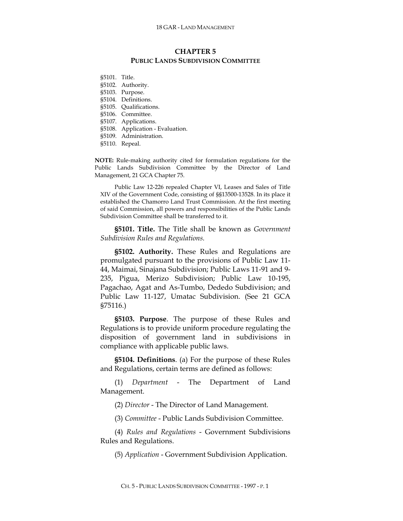## **CHAPTER 5 PUBLIC LANDS SUBDIVISION COMMITTEE**

§5101. Title. §5102. Authority. §5103. Purpose. §5104. Definitions. §5105. Qualifications. §5106. Committee. §5107. Applications. §5108. Application - Evaluation. §5109. Administration. §5110. Repeal.

**NOTE:** Rule-making authority cited for formulation regulations for the Public Lands Subdivision Committee by the Director of Land Management, 21 GCA Chapter 75.

Public Law 12-226 repealed Chapter VI, Leases and Sales of Title XIV of the Government Code, consisting of §§13500-13528. In its place it established the Chamorro Land Trust Commission. At the first meeting of said Commission, all powers and responsibilities of the Public Lands Subdivision Committee shall be transferred to it.

**§5101. Title.** The Title shall be known as *Government Subdivision Rules and Regulations.*

**§5102. Authority.** These Rules and Regulations are promulgated pursuant to the provisions of Public Law 11- 44, Maimai, Sinajana Subdivision; Public Laws 11-91 and 9- 235, Pigua, Merizo Subdivision; Public Law 10-195, Pagachao, Agat and As-Tumbo, Dededo Subdivision; and Public Law 11-127, Umatac Subdivision. (See 21 GCA §75116.)

**§5103. Purpose**. The purpose of these Rules and Regulations is to provide uniform procedure regulating the disposition of government land in subdivisions in compliance with applicable public laws.

**§5104. Definitions**. (a) For the purpose of these Rules and Regulations, certain terms are defined as follows:

(1) *Department* - The Department of Land Management.

(2) *Director* - The Director of Land Management.

(3) *Committee* - Public Lands Subdivision Committee.

(4) *Rules and Regulations* - Government Subdivisions Rules and Regulations.

(5) *Application* - Government Subdivision Application.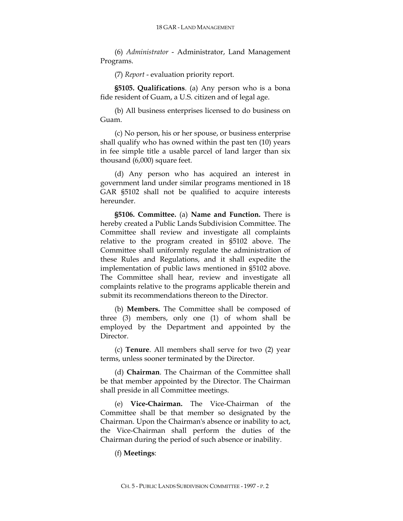(6) *Administrator* - Administrator, Land Management Programs.

(7) *Report* - evaluation priority report.

**§5105. Qualifications**. (a) Any person who is a bona fide resident of Guam, a U.S. citizen and of legal age.

(b) All business enterprises licensed to do business on Guam.

(c) No person, his or her spouse, or business enterprise shall qualify who has owned within the past ten (10) years in fee simple title a usable parcel of land larger than six thousand (6,000) square feet.

(d) Any person who has acquired an interest in government land under similar programs mentioned in 18 GAR §5102 shall not be qualified to acquire interests hereunder.

**§5106. Committee.** (a) **Name and Function.** There is hereby created a Public Lands Subdivision Committee. The Committee shall review and investigate all complaints relative to the program created in §5102 above. The Committee shall uniformly regulate the administration of these Rules and Regulations, and it shall expedite the implementation of public laws mentioned in §5102 above. The Committee shall hear, review and investigate all complaints relative to the programs applicable therein and submit its recommendations thereon to the Director.

(b) **Members.** The Committee shall be composed of three (3) members, only one (1) of whom shall be employed by the Department and appointed by the Director.

(c) **Tenure**. All members shall serve for two (2) year terms, unless sooner terminated by the Director.

(d) **Chairman**. The Chairman of the Committee shall be that member appointed by the Director. The Chairman shall preside in all Committee meetings.

(e) **Vice-Chairman.** The Vice-Chairman of the Committee shall be that member so designated by the Chairman. Upon the Chairman's absence or inability to act, the Vice-Chairman shall perform the duties of the Chairman during the period of such absence or inability.

## (f) **Meetings**: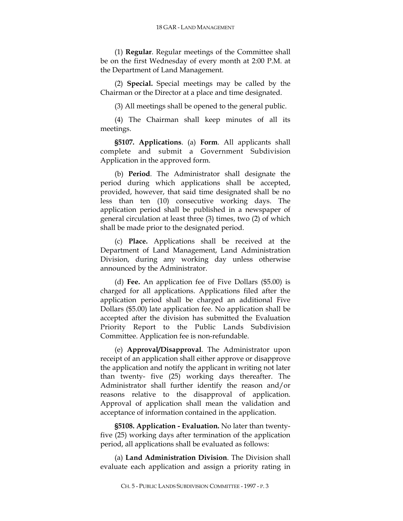(1) **Regular**. Regular meetings of the Committee shall be on the first Wednesday of every month at 2:00 P.M. at the Department of Land Management.

(2) **Special.** Special meetings may be called by the Chairman or the Director at a place and time designated.

(3) All meetings shall be opened to the general public.

(4) The Chairman shall keep minutes of all its meetings.

**§5107. Applications**. (a) **Form**. All applicants shall complete and submit a Government Subdivision Application in the approved form.

(b) **Period**. The Administrator shall designate the period during which applications shall be accepted, provided, however, that said time designated shall be no less than ten (10) consecutive working days. The application period shall be published in a newspaper of general circulation at least three (3) times, two (2) of which shall be made prior to the designated period.

(c) **Place.** Applications shall be received at the Department of Land Management, Land Administration Division, during any working day unless otherwise announced by the Administrator.

(d) **Fee.** An application fee of Five Dollars (\$5.00) is charged for all applications. Applications filed after the application period shall be charged an additional Five Dollars (\$5.00) late application fee. No application shall be accepted after the division has submitted the Evaluation Priority Report to the Public Lands Subdivision Committee. Application fee is non-refundable.

(e) **Approval/Disapproval**. The Administrator upon receipt of an application shall either approve or disapprove the application and notify the applicant in writing not later than twenty- five (25) working days thereafter. The Administrator shall further identify the reason and/or reasons relative to the disapproval of application. Approval of application shall mean the validation and acceptance of information contained in the application.

**§5108. Application - Evaluation.** No later than twentyfive (25) working days after termination of the application period, all applications shall be evaluated as follows:

(a) **Land Administration Division**. The Division shall evaluate each application and assign a priority rating in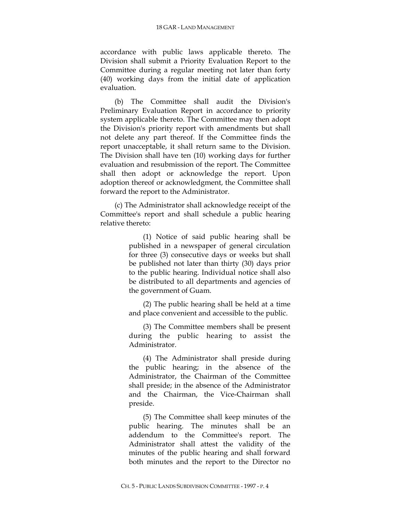accordance with public laws applicable thereto. The Division shall submit a Priority Evaluation Report to the Committee during a regular meeting not later than forty (40) working days from the initial date of application evaluation.

(b) The Committee shall audit the Division's Preliminary Evaluation Report in accordance to priority system applicable thereto. The Committee may then adopt the Division's priority report with amendments but shall not delete any part thereof. If the Committee finds the report unacceptable, it shall return same to the Division. The Division shall have ten (10) working days for further evaluation and resubmission of the report. The Committee shall then adopt or acknowledge the report. Upon adoption thereof or acknowledgment, the Committee shall forward the report to the Administrator.

(c) The Administrator shall acknowledge receipt of the Committee's report and shall schedule a public hearing relative thereto:

> (1) Notice of said public hearing shall be published in a newspaper of general circulation for three (3) consecutive days or weeks but shall be published not later than thirty (30) days prior to the public hearing. Individual notice shall also be distributed to all departments and agencies of the government of Guam.

> (2) The public hearing shall be held at a time and place convenient and accessible to the public.

> (3) The Committee members shall be present during the public hearing to assist the Administrator.

> (4) The Administrator shall preside during the public hearing; in the absence of the Administrator, the Chairman of the Committee shall preside; in the absence of the Administrator and the Chairman, the Vice-Chairman shall preside.

> (5) The Committee shall keep minutes of the public hearing. The minutes shall be an addendum to the Committee's report. The Administrator shall attest the validity of the minutes of the public hearing and shall forward both minutes and the report to the Director no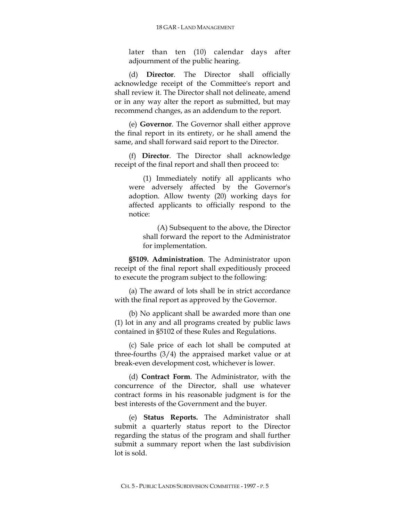later than ten (10) calendar days after adjournment of the public hearing.

(d) **Director**. The Director shall officially acknowledge receipt of the Committee's report and shall review it. The Director shall not delineate, amend or in any way alter the report as submitted, but may recommend changes, as an addendum to the report.

(e) **Governor**. The Governor shall either approve the final report in its entirety, or he shall amend the same, and shall forward said report to the Director.

(f) **Director**. The Director shall acknowledge receipt of the final report and shall then proceed to:

(1) Immediately notify all applicants who were adversely affected by the Governor's adoption. Allow twenty (20) working days for affected applicants to officially respond to the notice:

(A) Subsequent to the above, the Director shall forward the report to the Administrator for implementation.

**§5109. Administration**. The Administrator upon receipt of the final report shall expeditiously proceed to execute the program subject to the following:

(a) The award of lots shall be in strict accordance with the final report as approved by the Governor.

(b) No applicant shall be awarded more than one (1) lot in any and all programs created by public laws contained in §5102 of these Rules and Regulations.

(c) Sale price of each lot shall be computed at three-fourths (3/4) the appraised market value or at break-even development cost, whichever is lower.

(d) **Contract Form**. The Administrator, with the concurrence of the Director, shall use whatever contract forms in his reasonable judgment is for the best interests of the Government and the buyer.

(e) **Status Reports.** The Administrator shall submit a quarterly status report to the Director regarding the status of the program and shall further submit a summary report when the last subdivision lot is sold.